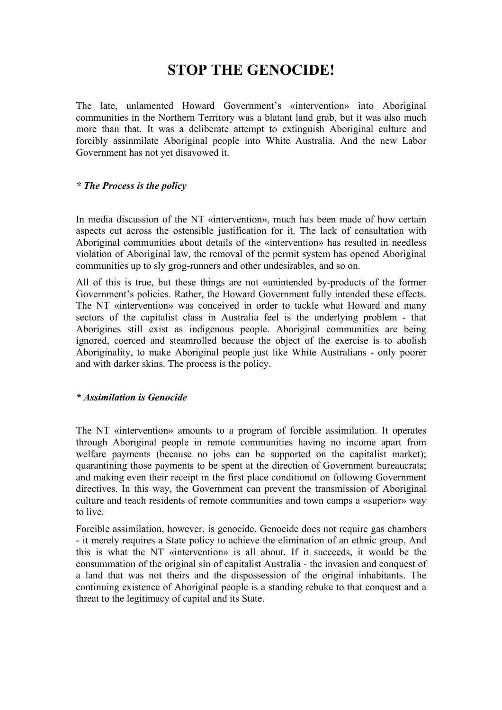# **STOP THE GENOCIDE!**

The late, unlamented Howard Government's «intervention» into Aboriginal communities in the Northern Territory was a blatant land grab, but it was also much more than that. It was a deliberate attempt to extinguish Aboriginal culture and forcibly assinmilate Aboriginal people into White Australia. And the new Labor Government has not yet disavowed it.

## *\* The Process is the policy*

In media discussion of the NT «intervention», much has been made of how certain aspects cut across the ostensible justification for it. The lack of consultation with Aboriginal communities about details of the «intervention» has resulted in needless violation of Aboriginal law, the removal of the permit system has opened Aboriginal communities up to sly grog-runners and other undesirables, and so on.

All of this is true, but these things are not «unintended by-products of the former Government's policies. Rather, the Howard Government fully intended these effects. The NT «intervention» was conceived in order to tackle what Howard and many sectors of the capitalist class in Australia feel is the underlying problem - that Aborigines still exist as indigenous people. Aboriginal communities are being ignored, coerced and steamrolled because the object of the exercise is to abolish Aboriginality, to make Aboriginal people just like White Australians - only poorer and with darker skins. The process is the policy.

## *\* Assimilation is Genocide*

The NT «intervention» amounts to a program of forcible assimilation. It operates through Aboriginal people in remote communities having no income apart from welfare payments (because no jobs can be supported on the capitalist market); quarantining those payments to be spent at the direction of Government bureaucrats; and making even their receipt in the first place conditional on following Government directives. In this way, the Government can prevent the transmission of Aboriginal culture and teach residents of remote communities and town camps a «superior» way to live.

Forcible assimilation, however, is genocide. Genocide does not require gas chambers - it merely requires a State policy to achieve the elimination of an ethnic group. And this is what the NT «intervention» is all about. If it succeeds, it would be the consummation of the original sin of capitalist Australia - the invasion and conquest of a land that was not theirs and the dispossession of the original inhabitants. The continuing existence of Aboriginal people is a standing rebuke to that conquest and a threat to the legitimacy of capital and its State.